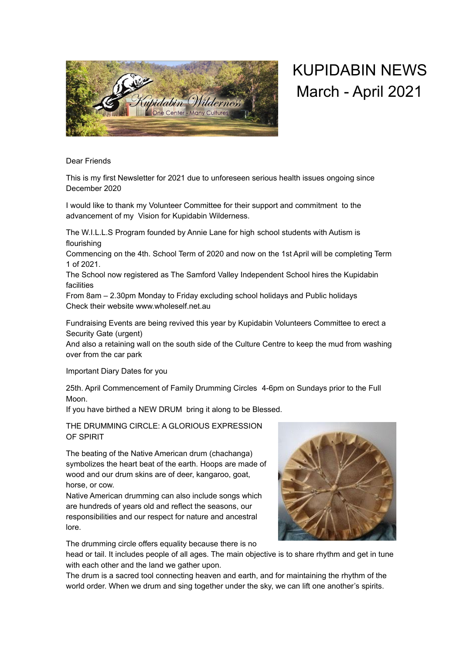

## KUPIDABIN NEWS March - April 2021

Dear Friends

This is my first Newsletter for 2021 due to unforeseen serious health issues ongoing since December 2020

I would like to thank my Volunteer Committee for their support and commitment to the advancement of my Vision for Kupidabin Wilderness.

The W.I.L.L.S Program founded by Annie Lane for high school students with Autism is flourishing

Commencing on the 4th. School Term of 2020 and now on the 1st April will be completing Term 1 of 2021.

The School now registered as The Samford Valley Independent School hires the Kupidabin facilities

From 8am – 2.30pm Monday to Friday excluding school holidays and Public holidays Check their website www.wholeself.net.au

Fundraising Events are being revived this year by Kupidabin Volunteers Committee to erect a Security Gate (urgent)

And also a retaining wall on the south side of the Culture Centre to keep the mud from washing over from the car park

Important Diary Dates for you

25th. April Commencement of Family Drumming Circles 4-6pm on Sundays prior to the Full Moon.

If you have birthed a NEW DRUM bring it along to be Blessed.

THE DRUMMING CIRCLE: A GLORIOUS EXPRESSION OF SPIRIT

The beating of the Native American drum (chachanga) symbolizes the heart beat of the earth. Hoops are made of wood and our drum skins are of deer, kangaroo, goat, horse, or cow.

Native American drumming can also include songs which are hundreds of years old and reflect the seasons, our responsibilities and our respect for nature and ancestral lore.

The drumming circle offers equality because there is no

head or tail. It includes people of all ages. The main objective is to share rhythm and get in tune with each other and the land we gather upon.

The drum is a sacred tool connecting heaven and earth, and for maintaining the rhythm of the world order. When we drum and sing together under the sky, we can lift one another's spirits.